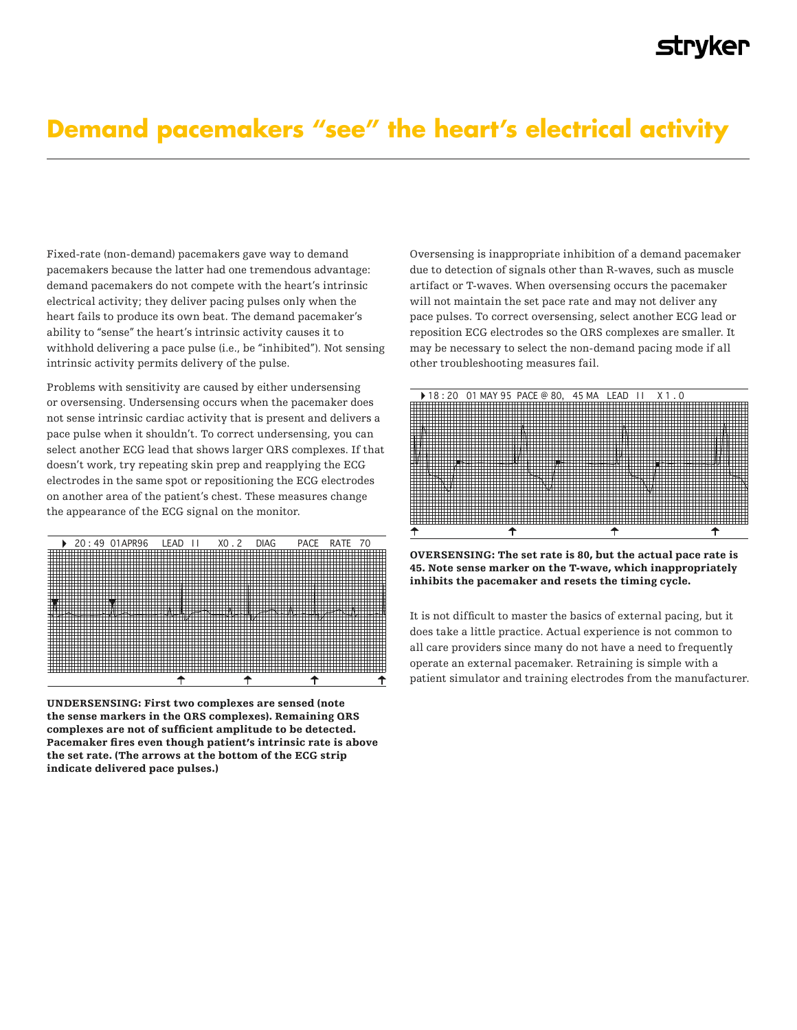## Clinical Information **Demand pacemakers "see" the heart's electrical activity**

Fixed-rate (non-demand) pacemakers gave way to demand Fixed-rate (non-demand) pacemakers gave way to demand Fixed-rate (non-demand) pacemakers gave way to demand pacemakers because the latter had one tremendous advantage: pacemakers because the latter had one tremendous advantage: pacemakers because the latter had one tremendous advantage: demand pacemakers do not compete with the heart's intrinsic demand pacemakers do not compete with the heart's intrinsic demand pacemakers do not compete with the heart's intrinsic electrical activity; they deliver pacing pulses only when the heart fails to produce its own beat. The demand pacemaker's  $\frac{1}{2}$ ability to "sense" the heart's intrinsic activity causes it to withhold delivering a sense it to withhold delivering a sense it to withhold delivering a sense it to withhold delivering a sense it to withhold delivering a s withhold delivering a pace pulse (i.e., be "inhibited"). Not sensing intrinsic activity permits  $\frac{1}{2}$ intrinsic activity permits delivery of the pulse. delivery of the pulse. delivery of the pulse.

Problems with sensitivity are caused by either undersensing or oversensing. Undersensing occurs when the pacemaker does not sense intrinsic cardiac activity that is present and delivers a pace pulse when it shouldn't. To correct undersensing, you can select another ECG lead that shows larger QRS complexes. If that doesn't work, try repeating skin prep and reapplying the ECG  $\frac{1}{1}$  electrodes in the same spot or repositioning the ECG electrodes on another area of the patient's chest. These measures change the appearance of the ECG signal on the monitor.  $\mathbf{f}$  single monitor.



UNDERSENSING: First two complexes are sensed (note **UNDERSENSING: First two complexes are sensed (note the sense markers in the**  the sense markers in the QRS complexes are sensed (note<br>the sense markers in the QRS complexes). Remaining QRS the sense markers in the GRS complexes). Remaining GRS<br>complexes are not of sufficient amplitude to be detected. Pacemaker fires even though patient's intrinsic rate is above the set rate. (The arrows at the bottom of the ECG strip indicate delivered pace pulses.) complexes are not of sufficient amplitude to be detected. the sense markers in the **uks complexes). Remaining uks** 

Oversensing is inappropriate inhibition of a demand pacemaker Oversensing is inappropriate inhibition of a demand pacemaker Oversensing is inappropriate inhibition of a demand pacemaker due to detection of signals other than R-waves, such as muscle due to detection of signals other than R-waves, such as muscle due to detection of signals other than R-waves, such as muscle artifact or T-waves. When oversensing occurs the pacemaker will not maintain the set pace rate and may not deliver any pace pulses. pace pulses. To correct oversensing, select another ECG lead or  $\frac{1}{2}$ reposition ECG electrodes so the QRS complexes are smaller. It may be necessary to select the non-demand pacing mode if all  $\overline{\phantom{a}}$ other troubleshooting measures fail. measures fail. measures fail.



OVERSENSING: The set rate is 80, but the actual pace rate is **OVERSENSING: The set rate is 80, but the actual pace rate is 45. Note sense**  45. Note sense marker on the T-wave, which inappropriately **timing cycle. marker on the T-wave, which inappropriately inhibits the pacemaker and resets the**  inhibits the pacemaker and resets the timing cycle. **timing cycle.**  OVERSENSING: The set rate is 80, but the actual pace rate is  $45.1$ 

It is not difficult to master the basics of external pacing, but it  $\,$ does take a little practice. Actual experience is not common to all care providers since many do not have a need to frequently operate an external pacemaker. Retraining is simple with a patient simulator and training electrodes from the manufacturer.